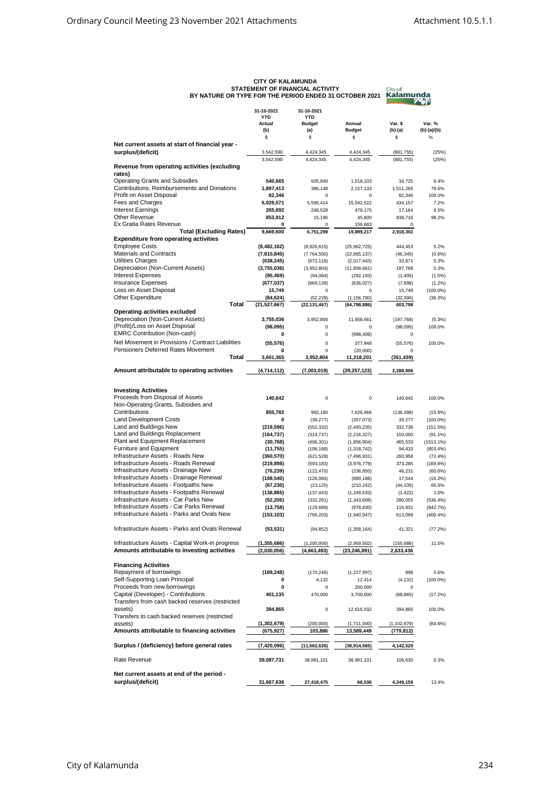|                                                   | 31-10-2021     | 31-10-2021     |                |               |               |
|---------------------------------------------------|----------------|----------------|----------------|---------------|---------------|
|                                                   | <b>YTD</b>     | <b>YTD</b>     |                |               |               |
|                                                   | Actual         | <b>Budget</b>  | Annual         | Var. \$       | Var. %        |
|                                                   | (b)            | (a)            | <b>Budget</b>  | (b)-(a)       | $(b)-(a)/(b)$ |
|                                                   | \$             | \$             | \$             | \$            | $\%$          |
| Net current assets at start of financial year -   |                |                |                |               |               |
| surplus/(deficit)                                 | 3,542,590      | 4,424,345      | 4,424,345      | (881, 755)    | (25%)         |
|                                                   | 3,542,590      | 4,424,345      | 4,424,345      | (881, 755)    | (25%)         |
| Revenue from operating activities (excluding      |                |                |                |               |               |
| rates)                                            |                |                |                |               |               |
| <b>Operating Grants and Subsidies</b>             | 540,665        | 505,940        | 1,518,103      | 34,725        | 6.4%          |
| Contributions, Reimbursements and Donations       | 1,897,413      |                |                |               | 79.6%         |
| Profit on Asset Disposal                          |                | 386,148        | 2,157,133      | 1,511,265     |               |
|                                                   | 82,346         | 0              | 0              | 82,346        | 100.0%        |
| Fees and Charges                                  | 6,029,571      | 5,595,414      | 15,542,522     | 434,157       | 7.2%          |
| <b>Interest Earnings</b>                          | 265,692        | 248,528        | 479,175        | 17,164        | 6.5%          |
| Other Revenue                                     | 853,912        | 15,196         | 45,600         | 838,716       | 98.2%         |
| Ex Gratia Rates Revenue                           | 0              | 0              | 156,683        | $\Omega$      |               |
| <b>Total (Excluding Rates)</b>                    | 9,669,600      | 6,751,299      | 19,899,217     | 2,918,302     |               |
| <b>Expenditure from operating activities</b>      |                |                |                |               |               |
| <b>Employee Costs</b>                             | (8,482,162)    | (8,926,615)    | (25,962,725)   | 444,453       | 5.2%          |
| <b>Materials and Contracts</b>                    | (7,810,845)    | (7,764,500)    | (22, 885, 137) | (46, 345)     | $(0.6\%)$     |
| Utilities Charges                                 | (638, 245)     | (672, 116)     | (2,017,443)    | 33,871        | 5.3%          |
| Depreciation (Non-Current Assets)                 | (3,755,036)    | (3,952,804)    | (11,858,661)   | 197,768       | 5.3%          |
| <b>Interest Expenses</b>                          | (95, 469)      | (94, 064)      | (282, 193)     | (1, 405)      | (1.5%)        |
| <b>Insurance Expenses</b>                         | (677, 037)     | (669, 139)     | (636, 027)     |               | $(1.2\%)$     |
|                                                   | 15,749         | 0              | 0              | (7,898)       |               |
| Loss on Asset Disposal                            |                |                |                | 15,749        | $(100.0\%)$   |
| Other Expenditure                                 | (84, 624)      | (52, 228)      | (1, 156, 700)  | (32, 396)     | (38.3%)       |
| Total                                             | (21, 527, 667) | (22, 131, 467) | (64, 798, 886) | 603,798       |               |
| Operating activities excluded                     |                |                |                |               |               |
| Depreciation (Non-Current Assets)                 | 3,755,036      | 3,952,804      | 11,858,661     | (197, 768)    | $(5.3\%)$     |
| (Profit)/Loss on Asset Disposal                   | (98,095)       | 0              | 0              | (98, 095)     | 100.0%        |
| <b>EMRC Contribution (Non-cash)</b>               | 0              | 0              | (998, 408)     | 0             |               |
| Net Movement in Provisions / Contract Liabilities | (55, 576)      | 0              | 377,948        | (55, 576)     | 100.0%        |
| Pensioners Deferred Rates Movement                | 0              | 0              | (20,000)       | $\Omega$      |               |
| Total                                             | 3,601,365      | 3,952,804      |                |               |               |
|                                                   |                |                | 11,218,201     | (351, 439)    |               |
| Amount attributable to operating activities       | (4,714,112)    | (7,003,019)    | (29, 257, 123) | 2,288,906     |               |
|                                                   |                |                |                |               |               |
|                                                   |                |                |                |               |               |
| <b>Investing Activities</b>                       |                |                |                |               |               |
| Proceeds from Disposal of Assets                  | 140,642        | $\Omega$       | 0              | 140,642       | 100.0%        |
| Non-Operating Grants, Subsidies and               |                |                |                |               |               |
|                                                   |                |                |                |               |               |
| Contributions                                     | 855,782        | 992,180        | 7,626,966      | (136, 398)    | $(15.9\%)$    |
| <b>Land Development Costs</b>                     | 0              | (39, 277)      | (357, 073)     | 39,277        | $(100.0\%)$   |
| Land and Buildings New                            | (219, 596)     | (552, 332)     | (2,493,235)    | 332,736       | (151.5%)      |
| Land and Buildings Replacement                    | (164, 737)     | (314, 737)     | (2, 216, 327)  | 150,000       | $(91.1\%)$    |
| Plant and Equipment Replacement                   | (30, 768)      | (496, 301)     | (1,856,904)    | 465,533       | $(1513.1\%)$  |
| Furniture and Equipment                           | (11, 755)      | (106, 188)     | (1,318,742)    | 94,433        | $(803.4\%)$   |
| Infrastructure Assets - Roads New                 | (360, 570)     | (621, 528)     | (7,496,931)    | 260,958       | (72.4%)       |
| Infrastructure Assets - Roads Renewal             | (219, 898)     | (593, 183)     | (3,976,779)    | 373,285       | (169.8%)      |
| Infrastructure Assets - Drainage New              | (76, 239)      | (122, 470)     | (236, 850)     | 46,231        | (60.6%)       |
| Infrastructure Assets - Drainage Renewal          | (108, 540)     | (126, 084)     |                | 17,544        | $(16.2\%)$    |
|                                                   |                |                | (880, 188)     |               |               |
| Infrastructure Assets - Footpaths New             | (67, 230)      | (23, 125)      | (210, 242)     | (44, 105)     | 65.6%         |
| Infrastructure Assets - Footpaths Renewal         | (138, 865)     | (137, 443)     | (1, 249, 533)  | (1, 422)      | 1.0%          |
| Infrastructure Assets - Car Parks New             | (52, 206)      | (332, 261)     | (1,343,608)    | 280,055       | $(536.4\%)$   |
| Infrastructure Assets - Car Parks Renewal         | (13, 758)      | (129, 689)     | (978, 830)     | 115,931       | (842.7%)      |
| Infrastructure Assets - Parks and Ovals New       | (153, 103)     | (766, 203)     | (1,940,947)    | 613,099       | $(400.4\%)$   |
|                                                   |                |                |                |               |               |
| Infrastructure Assets - Parks and Ovals Renewal   | (53, 531)      | (94, 852)      | (1,358,164)    | 41,321        | (77.2%)       |
|                                                   |                |                |                |               |               |
| Infrastructure Assets - Capital Work-in progress  | (1, 355, 686)  | (1,200,000)    | (2,959,502)    | (155, 686)    | 11.5%         |
| Amounts attributable to investing activities      | (2,030,056)    | (4,663,493)    | (23, 246, 891) | 2,633,436     |               |
|                                                   |                |                |                |               |               |
| <b>Financing Activities</b>                       |                |                |                |               |               |
| Repayment of borrowings                           | (169,248)      | (170, 246)     | (1, 227, 997)  | 998           | 0.6%          |
| Self-Supporting Loan Principal                    | 0              | 4,132          | 12,414         | (4, 132)      | $(100.0\%)$   |
| Proceeds from new borrowings                      | 0              | 0              | 200,000        | 0             |               |
|                                                   |                |                |                |               |               |
| Capital (Developer) - Contributions               | 401,135        | 470,000        | 3,700,000      | (68, 865)     | (17.2%)       |
| Transfers from cash backed reserves (restricted   |                |                |                |               |               |
| assets)                                           | 394,865        | 0              | 12,616,032     | 394,865       | 100.0%        |
| Transfers to cash backed reserves (restricted     |                |                |                |               |               |
| assets)                                           | (1,302,679)    | (200,000)      | (1,711,000)    | (1, 102, 679) | (84.6%)       |
| Amounts attributable to financing activities      | (675, 927)     | 103,886        | 13,589,449     | (779,812)     |               |
|                                                   |                |                |                |               |               |
| Surplus / (deficiency) before general rates       | (7,420,096)    | (11, 562, 626) | (38, 914, 565) | 4,142,529     |               |
|                                                   |                |                |                |               |               |
| Rate Revenue                                      | 39,087,731     | 38,981,101     | 38,981,101     | 106,630       | 0.3%          |
|                                                   |                |                |                |               |               |
| Net current assets at end of the period -         |                |                |                |               |               |
| surplus/(deficit)                                 | 31,667,636     | 27,418,475     | 66,536         | 4,249,159     | 13.4%         |
|                                                   |                |                |                |               |               |

## **CITY OF KALAMUNDA STATEMENT OF FINANCIAL ACTIVITY BY NATURE OR TYPE FOR THE PERIOD ENDED 31 OCTOBER 2021**